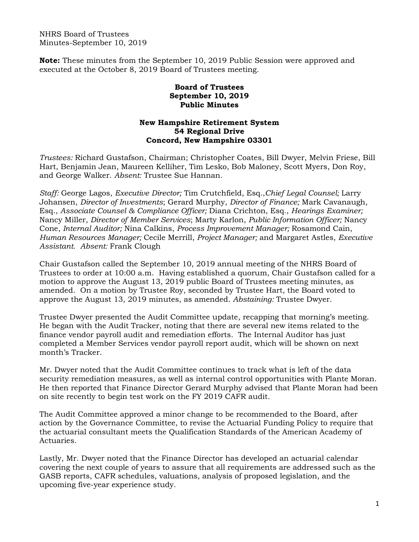NHRS Board of Trustees Minutes-September 10, 2019

**Note:** These minutes from the September 10, 2019 Public Session were approved and executed at the October 8, 2019 Board of Trustees meeting.

## **Board of Trustees September 10, 2019 Public Minutes**

## **New Hampshire Retirement System 54 Regional Drive Concord, New Hampshire 03301**

*Trustees:* Richard Gustafson, Chairman; Christopher Coates, Bill Dwyer, Melvin Friese, Bill Hart, Benjamin Jean, Maureen Kelliher, Tim Lesko, Bob Maloney, Scott Myers, Don Roy, and George Walker. *Absent:* Trustee Sue Hannan.

*Staff:* George Lagos, *Executive Director;* Tim Crutchfield, Esq.,*Chief Legal Counsel;* Larry Johansen, *Director of Investments*; Gerard Murphy, *Director of Finance;* Mark Cavanaugh, Esq., *Associate Counsel & Compliance Officer;* Diana Crichton, Esq., *Hearings Examiner;* Nancy Miller, *Director of Member Services*; Marty Karlon, *Public Information Officer;* Nancy Cone, *Internal Auditor;* Nina Calkins, *Process Improvement Manager;* Rosamond Cain, *Human Resources Manager;* Cecile Merrill, *Project Manager;* and Margaret Astles, *Executive Assistant. Absent:* Frank Clough

Chair Gustafson called the September 10, 2019 annual meeting of the NHRS Board of Trustees to order at 10:00 a.m. Having established a quorum, Chair Gustafson called for a motion to approve the August 13, 2019 public Board of Trustees meeting minutes, as amended. On a motion by Trustee Roy, seconded by Trustee Hart, the Board voted to approve the August 13, 2019 minutes, as amended. *Abstaining:* Trustee Dwyer.

Trustee Dwyer presented the Audit Committee update, recapping that morning's meeting. He began with the Audit Tracker, noting that there are several new items related to the finance vendor payroll audit and remediation efforts. The Internal Auditor has just completed a Member Services vendor payroll report audit, which will be shown on next month's Tracker.

Mr. Dwyer noted that the Audit Committee continues to track what is left of the data security remediation measures, as well as internal control opportunities with Plante Moran. He then reported that Finance Director Gerard Murphy advised that Plante Moran had been on site recently to begin test work on the FY 2019 CAFR audit.

The Audit Committee approved a minor change to be recommended to the Board, after action by the Governance Committee, to revise the Actuarial Funding Policy to require that the actuarial consultant meets the Qualification Standards of the American Academy of Actuaries.

Lastly, Mr. Dwyer noted that the Finance Director has developed an actuarial calendar covering the next couple of years to assure that all requirements are addressed such as the GASB reports, CAFR schedules, valuations, analysis of proposed legislation, and the upcoming five-year experience study.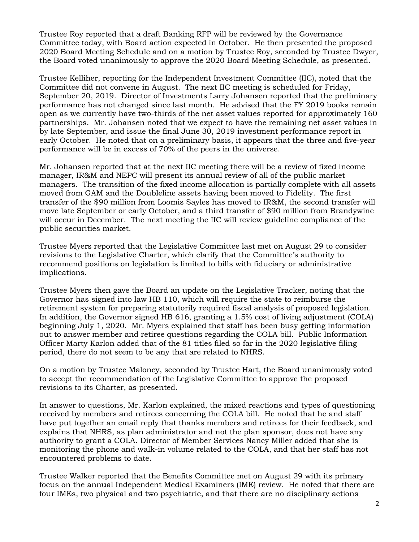Trustee Roy reported that a draft Banking RFP will be reviewed by the Governance Committee today, with Board action expected in October. He then presented the proposed 2020 Board Meeting Schedule and on a motion by Trustee Roy, seconded by Trustee Dwyer, the Board voted unanimously to approve the 2020 Board Meeting Schedule, as presented.

Trustee Kelliher, reporting for the Independent Investment Committee (IIC), noted that the Committee did not convene in August. The next IIC meeting is scheduled for Friday, September 20, 2019. Director of Investments Larry Johansen reported that the preliminary performance has not changed since last month. He advised that the FY 2019 books remain open as we currently have two-thirds of the net asset values reported for approximately 160 partnerships. Mr. Johansen noted that we expect to have the remaining net asset values in by late September, and issue the final June 30, 2019 investment performance report in early October. He noted that on a preliminary basis, it appears that the three and five-year performance will be in excess of 70% of the peers in the universe.

Mr. Johansen reported that at the next IIC meeting there will be a review of fixed income manager, IR&M and NEPC will present its annual review of all of the public market managers. The transition of the fixed income allocation is partially complete with all assets moved from GAM and the Doubleline assets having been moved to Fidelity. The first transfer of the \$90 million from Loomis Sayles has moved to IR&M, the second transfer will move late September or early October, and a third transfer of \$90 million from Brandywine will occur in December. The next meeting the IIC will review guideline compliance of the public securities market.

Trustee Myers reported that the Legislative Committee last met on August 29 to consider revisions to the Legislative Charter, which clarify that the Committee's authority to recommend positions on legislation is limited to bills with fiduciary or administrative implications.

Trustee Myers then gave the Board an update on the Legislative Tracker, noting that the Governor has signed into law HB 110, which will require the state to reimburse the retirement system for preparing statutorily required fiscal analysis of proposed legislation. In addition, the Governor signed HB 616, granting a 1.5% cost of living adjustment (COLA) beginning July 1, 2020. Mr. Myers explained that staff has been busy getting information out to answer member and retiree questions regarding the COLA bill. Public Information Officer Marty Karlon added that of the 81 titles filed so far in the 2020 legislative filing period, there do not seem to be any that are related to NHRS.

On a motion by Trustee Maloney, seconded by Trustee Hart, the Board unanimously voted to accept the recommendation of the Legislative Committee to approve the proposed revisions to its Charter, as presented.

In answer to questions, Mr. Karlon explained, the mixed reactions and types of questioning received by members and retirees concerning the COLA bill. He noted that he and staff have put together an email reply that thanks members and retirees for their feedback, and explains that NHRS, as plan administrator and not the plan sponsor, does not have any authority to grant a COLA. Director of Member Services Nancy Miller added that she is monitoring the phone and walk-in volume related to the COLA, and that her staff has not encountered problems to date.

Trustee Walker reported that the Benefits Committee met on August 29 with its primary focus on the annual Independent Medical Examiners (IME) review. He noted that there are four IMEs, two physical and two psychiatric, and that there are no disciplinary actions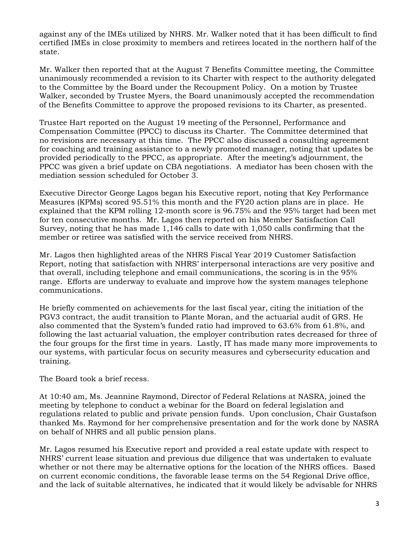against any of the IMEs utilized by NHRS. Mr. Walker noted that it has been difficult to find certified IMEs in close proximity to members and retirees located in the northern half of the state.

Mr. Walker then reported that at the August 7 Benefits Committee meeting, the Committee unanimously recommended a revision to its Charter with respect to the authority delegated to the Committee by the Board under the Recoupment Policy. On a motion by Trustee Walker, seconded by Trustee Myers, the Board unanimously accepted the recommendation of the Benefits Committee to approve the proposed revisions to its Charter, as presented.

Trustee Hart reported on the August 19 meeting of the Personnel, Performance and Compensation Committee (PPCC) to discuss its Charter. The Committee determined that no revisions are necessary at this time. The PPCC also discussed a consulting agreement for coaching and training assistance to a newly promoted manager, noting that updates be provided periodically to the PPCC, as appropriate. After the meeting's adjournment, the PPCC was given a brief update on CBA negotiations. A mediator has been chosen with the mediation session scheduled for October 3.

Executive Director George Lagos began his Executive report, noting that Key Performance Measures (KPMs) scored 95.51% this month and the FY20 action plans are in place. He explained that the KPM rolling 12-month score is 96.75% and the 95% target had been met for ten consecutive months. Mr. Lagos then reported on his Member Satisfaction Call Survey, noting that he has made 1,146 calls to date with 1,050 calls confirming that the member or retiree was satisfied with the service received from NHRS.

Mr. Lagos then highlighted areas of the NHRS Fiscal Year 2019 Customer Satisfaction Report, noting that satisfaction with NHRS' interpersonal interactions are very positive and that overall, including telephone and email communications, the scoring is in the 95% range. Efforts are underway to evaluate and improve how the system manages telephone communications.

He briefly commented on achievements for the last fiscal year, citing the initiation of the PGV3 contract, the audit transition to Plante Moran, and the actuarial audit of GRS. He also commented that the System's funded ratio had improved to 63.6% from 61.8%, and following the last actuarial valuation, the employer contribution rates decreased for three of the four groups for the first time in years. Lastly, IT has made many more improvements to our systems, with particular focus on security measures and cybersecurity education and training.

The Board took a brief recess.

At 10:40 am, Ms. Jeannine Raymond, Director of Federal Relations at NASRA, joined the meeting by telephone to conduct a webinar for the Board on federal legislation and regulations related to public and private pension funds. Upon conclusion, Chair Gustafson thanked Ms. Raymond for her comprehensive presentation and for the work done by NASRA on behalf of NHRS and all public pension plans.

Mr. Lagos resumed his Executive report and provided a real estate update with respect to NHRS' current lease situation and previous due diligence that was undertaken to evaluate whether or not there may be alternative options for the location of the NHRS offices. Based on current economic conditions, the favorable lease terms on the 54 Regional Drive office, and the lack of suitable alternatives, he indicated that it would likely be advisable for NHRS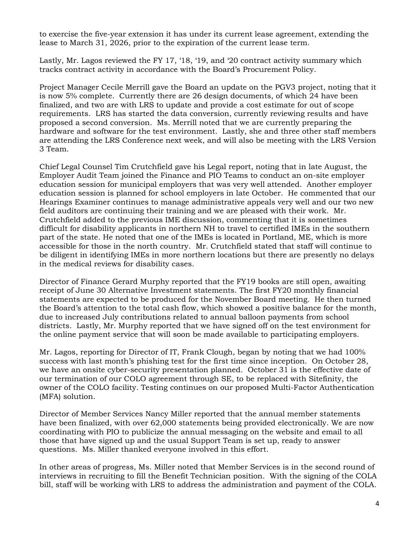to exercise the five-year extension it has under its current lease agreement, extending the lease to March 31, 2026, prior to the expiration of the current lease term.

Lastly, Mr. Lagos reviewed the FY 17, '18, '19, and '20 contract activity summary which tracks contract activity in accordance with the Board's Procurement Policy.

Project Manager Cecile Merrill gave the Board an update on the PGV3 project, noting that it is now 5% complete. Currently there are 26 design documents, of which 24 have been finalized, and two are with LRS to update and provide a cost estimate for out of scope requirements. LRS has started the data conversion, currently reviewing results and have proposed a second conversion. Ms. Merrill noted that we are currently preparing the hardware and software for the test environment. Lastly, she and three other staff members are attending the LRS Conference next week, and will also be meeting with the LRS Version 3 Team.

Chief Legal Counsel Tim Crutchfield gave his Legal report, noting that in late August, the Employer Audit Team joined the Finance and PIO Teams to conduct an on-site employer education session for municipal employers that was very well attended. Another employer education session is planned for school employers in late October. He commented that our Hearings Examiner continues to manage administrative appeals very well and our two new field auditors are continuing their training and we are pleased with their work. Mr. Crutchfield added to the previous IME discussion, commenting that it is sometimes difficult for disability applicants in northern NH to travel to certified IMEs in the southern part of the state. He noted that one of the IMEs is located in Portland, ME, which is more accessible for those in the north country. Mr. Crutchfield stated that staff will continue to be diligent in identifying IMEs in more northern locations but there are presently no delays in the medical reviews for disability cases.

Director of Finance Gerard Murphy reported that the FY19 books are still open, awaiting receipt of June 30 Alternative Investment statements. The first FY20 monthly financial statements are expected to be produced for the November Board meeting. He then turned the Board's attention to the total cash flow, which showed a positive balance for the month, due to increased July contributions related to annual balloon payments from school districts. Lastly, Mr. Murphy reported that we have signed off on the test environment for the online payment service that will soon be made available to participating employers.

Mr. Lagos, reporting for Director of IT, Frank Clough, began by noting that we had 100% success with last month's phishing test for the first time since inception. On October 28, we have an onsite cyber-security presentation planned. October 31 is the effective date of our termination of our COLO agreement through SE, to be replaced with Sitefinity, the owner of the COLO facility. Testing continues on our proposed Multi-Factor Authentication (MFA) solution.

Director of Member Services Nancy Miller reported that the annual member statements have been finalized, with over 62,000 statements being provided electronically. We are now coordinating with PIO to publicize the annual messaging on the website and email to all those that have signed up and the usual Support Team is set up, ready to answer questions. Ms. Miller thanked everyone involved in this effort.

In other areas of progress, Ms. Miller noted that Member Services is in the second round of interviews in recruiting to fill the Benefit Technician position. With the signing of the COLA bill, staff will be working with LRS to address the administration and payment of the COLA.